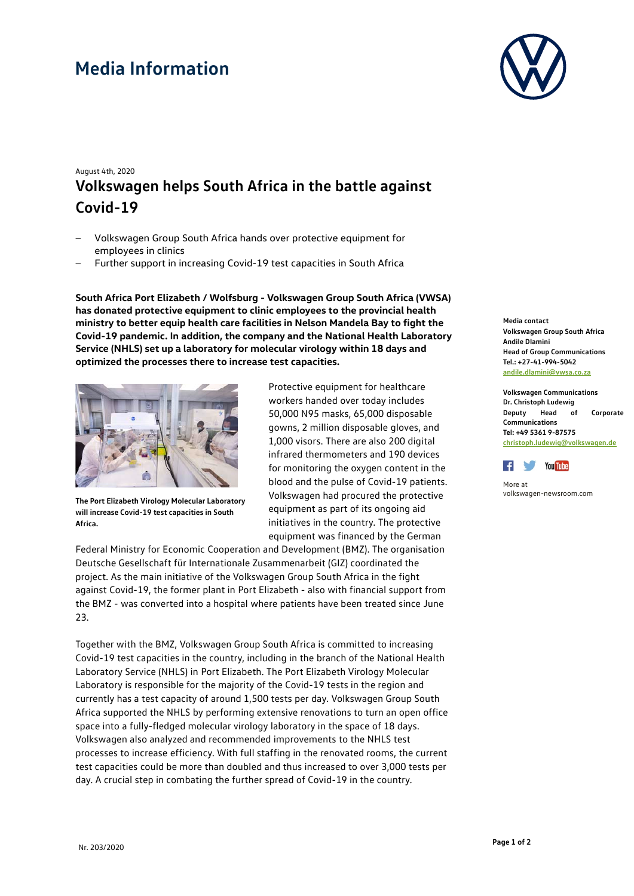## **Media Information**



## August 4th, 2020 **Volkswagen helps South Africa in the battle against Covid-19**

- − Volkswagen Group South Africa hands over protective equipment for employees in clinics
- Further support in increasing Covid-19 test capacities in South Africa

**South Africa Port Elizabeth / Wolfsburg - Volkswagen Group South Africa (VWSA) has donated protective equipment to clinic employees to the provincial health ministry to better equip health care facilities in Nelson Mandela Bay to fight the Covid-19 pandemic. In addition, the company and the National Health Laboratory Service (NHLS) set up a laboratory for molecular virology within 18 days and optimized the processes there to increase test capacities.**



**The Port Elizabeth Virology Molecular Laboratory will increase Covid-19 test capacities in South Africa.**

Protective equipment for healthcare workers handed over today includes 50,000 N95 masks, 65,000 disposable gowns, 2 million disposable gloves, and 1,000 visors. There are also 200 digital infrared thermometers and 190 devices for monitoring the oxygen content in the blood and the pulse of Covid-19 patients. Volkswagen had procured the protective equipment as part of its ongoing aid initiatives in the country. The protective equipment was financed by the German

Federal Ministry for Economic Cooperation and Development (BMZ). The organisation Deutsche Gesellschaft für Internationale Zusammenarbeit (GIZ) coordinated the project. As the main initiative of the Volkswagen Group South Africa in the fight against Covid-19, the former plant in Port Elizabeth - also with financial support from the BMZ - was converted into a hospital where patients have been treated since June 23.

Together with the BMZ, Volkswagen Group South Africa is committed to increasing Covid-19 test capacities in the country, including in the branch of the National Health Laboratory Service (NHLS) in Port Elizabeth. The Port Elizabeth Virology Molecular Laboratory is responsible for the majority of the Covid-19 tests in the region and currently has a test capacity of around 1,500 tests per day. Volkswagen Group South Africa supported the NHLS by performing extensive renovations to turn an open office space into a fully-fledged molecular virology laboratory in the space of 18 days. Volkswagen also analyzed and recommended improvements to the NHLS test processes to increase efficiency. With full staffing in the renovated rooms, the current test capacities could be more than doubled and thus increased to over 3,000 tests per day. A crucial step in combating the further spread of Covid-19 in the country.

**Media contact Volkswagen Group South Africa Andile Dlamini Head of Group Communications Tel.: +27-41-994-5042 [andile.dlamini@vwsa.co.za](mailto:andile.dlamini@vwsa.co.za)**

**Volkswagen Communications Dr. Christoph Ludewig Deputy Head of Corporate Communications Tel: +49 5361 9-87575 [christoph.ludewig@volkswagen.de](mailto:christoph.ludewig@volkswagen.de)**



More at [volkswagen-newsroom.com](https://www.volkswagen-media-services.com/)